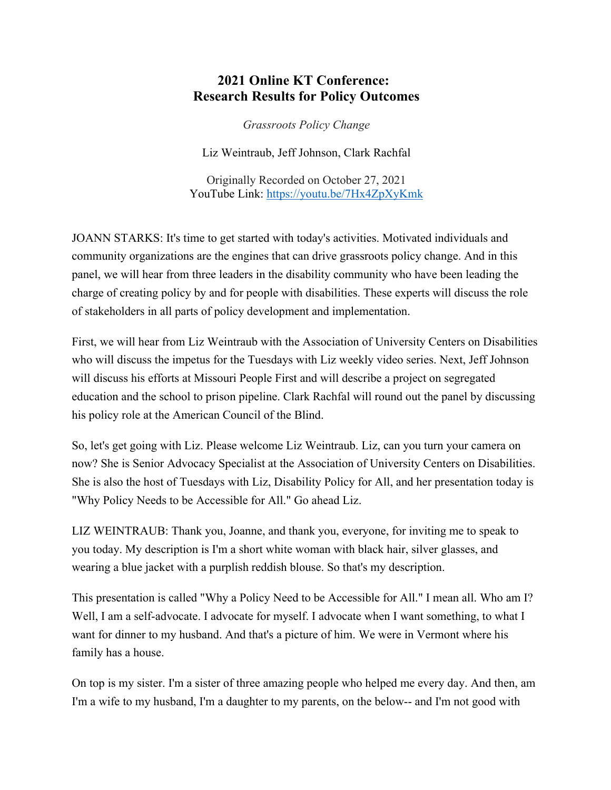# **2021 Online KT Conference: Research Results for Policy Outcomes**

*Grassroots Policy Change*

Liz Weintraub, Jeff Johnson, Clark Rachfal

Originally Recorded on October 27, 2021 YouTube Link: <https://youtu.be/7Hx4ZpXyKmk>

JOANN STARKS: It's time to get started with today's activities. Motivated individuals and community organizations are the engines that can drive grassroots policy change. And in this panel, we will hear from three leaders in the disability community who have been leading the charge of creating policy by and for people with disabilities. These experts will discuss the role of stakeholders in all parts of policy development and implementation.

First, we will hear from Liz Weintraub with the Association of University Centers on Disabilities who will discuss the impetus for the Tuesdays with Liz weekly video series. Next, Jeff Johnson will discuss his efforts at Missouri People First and will describe a project on segregated education and the school to prison pipeline. Clark Rachfal will round out the panel by discussing his policy role at the American Council of the Blind.

So, let's get going with Liz. Please welcome Liz Weintraub. Liz, can you turn your camera on now? She is Senior Advocacy Specialist at the Association of University Centers on Disabilities. She is also the host of Tuesdays with Liz, Disability Policy for All, and her presentation today is "Why Policy Needs to be Accessible for All." Go ahead Liz.

LIZ WEINTRAUB: Thank you, Joanne, and thank you, everyone, for inviting me to speak to you today. My description is I'm a short white woman with black hair, silver glasses, and wearing a blue jacket with a purplish reddish blouse. So that's my description.

This presentation is called "Why a Policy Need to be Accessible for All." I mean all. Who am I? Well, I am a self-advocate. I advocate for myself. I advocate when I want something, to what I want for dinner to my husband. And that's a picture of him. We were in Vermont where his family has a house.

On top is my sister. I'm a sister of three amazing people who helped me every day. And then, am I'm a wife to my husband, I'm a daughter to my parents, on the below-- and I'm not good with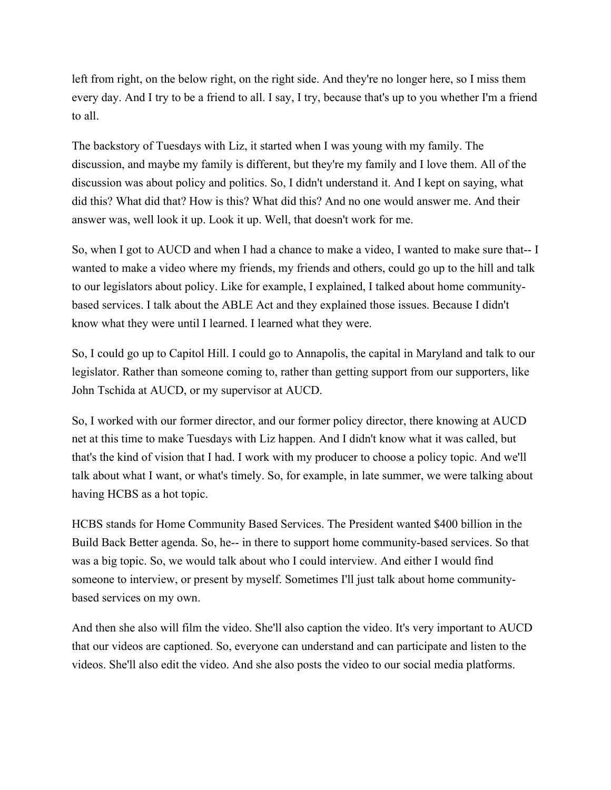left from right, on the below right, on the right side. And they're no longer here, so I miss them every day. And I try to be a friend to all. I say, I try, because that's up to you whether I'm a friend to all.

The backstory of Tuesdays with Liz, it started when I was young with my family. The discussion, and maybe my family is different, but they're my family and I love them. All of the discussion was about policy and politics. So, I didn't understand it. And I kept on saying, what did this? What did that? How is this? What did this? And no one would answer me. And their answer was, well look it up. Look it up. Well, that doesn't work for me.

So, when I got to AUCD and when I had a chance to make a video, I wanted to make sure that-- I wanted to make a video where my friends, my friends and others, could go up to the hill and talk to our legislators about policy. Like for example, I explained, I talked about home communitybased services. I talk about the ABLE Act and they explained those issues. Because I didn't know what they were until I learned. I learned what they were.

So, I could go up to Capitol Hill. I could go to Annapolis, the capital in Maryland and talk to our legislator. Rather than someone coming to, rather than getting support from our supporters, like John Tschida at AUCD, or my supervisor at AUCD.

So, I worked with our former director, and our former policy director, there knowing at AUCD net at this time to make Tuesdays with Liz happen. And I didn't know what it was called, but that's the kind of vision that I had. I work with my producer to choose a policy topic. And we'll talk about what I want, or what's timely. So, for example, in late summer, we were talking about having HCBS as a hot topic.

HCBS stands for Home Community Based Services. The President wanted \$400 billion in the Build Back Better agenda. So, he-- in there to support home community-based services. So that was a big topic. So, we would talk about who I could interview. And either I would find someone to interview, or present by myself. Sometimes I'll just talk about home communitybased services on my own.

And then she also will film the video. She'll also caption the video. It's very important to AUCD that our videos are captioned. So, everyone can understand and can participate and listen to the videos. She'll also edit the video. And she also posts the video to our social media platforms.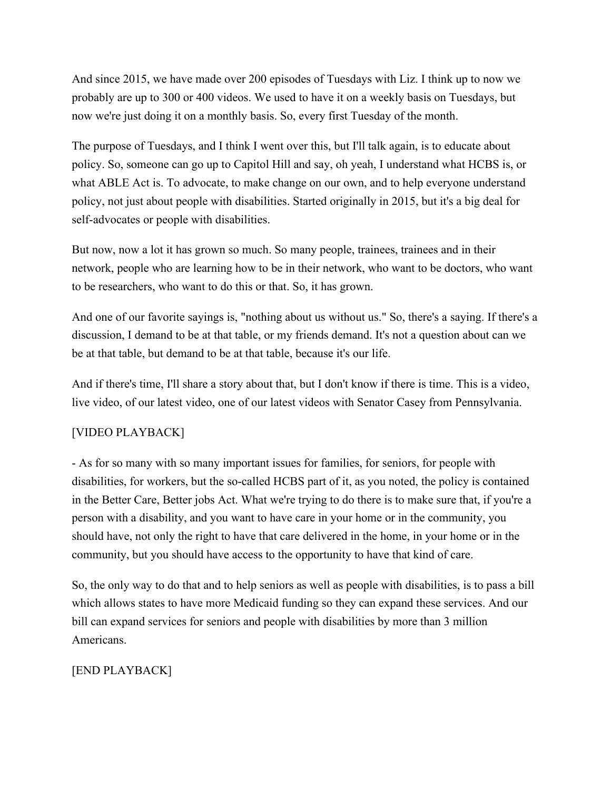And since 2015, we have made over 200 episodes of Tuesdays with Liz. I think up to now we probably are up to 300 or 400 videos. We used to have it on a weekly basis on Tuesdays, but now we're just doing it on a monthly basis. So, every first Tuesday of the month.

The purpose of Tuesdays, and I think I went over this, but I'll talk again, is to educate about policy. So, someone can go up to Capitol Hill and say, oh yeah, I understand what HCBS is, or what ABLE Act is. To advocate, to make change on our own, and to help everyone understand policy, not just about people with disabilities. Started originally in 2015, but it's a big deal for self-advocates or people with disabilities.

But now, now a lot it has grown so much. So many people, trainees, trainees and in their network, people who are learning how to be in their network, who want to be doctors, who want to be researchers, who want to do this or that. So, it has grown.

And one of our favorite sayings is, "nothing about us without us." So, there's a saying. If there's a discussion, I demand to be at that table, or my friends demand. It's not a question about can we be at that table, but demand to be at that table, because it's our life.

And if there's time, I'll share a story about that, but I don't know if there is time. This is a video, live video, of our latest video, one of our latest videos with Senator Casey from Pennsylvania.

### [VIDEO PLAYBACK]

- As for so many with so many important issues for families, for seniors, for people with disabilities, for workers, but the so-called HCBS part of it, as you noted, the policy is contained in the Better Care, Better jobs Act. What we're trying to do there is to make sure that, if you're a person with a disability, and you want to have care in your home or in the community, you should have, not only the right to have that care delivered in the home, in your home or in the community, but you should have access to the opportunity to have that kind of care.

So, the only way to do that and to help seniors as well as people with disabilities, is to pass a bill which allows states to have more Medicaid funding so they can expand these services. And our bill can expand services for seniors and people with disabilities by more than 3 million Americans.

## [END PLAYBACK]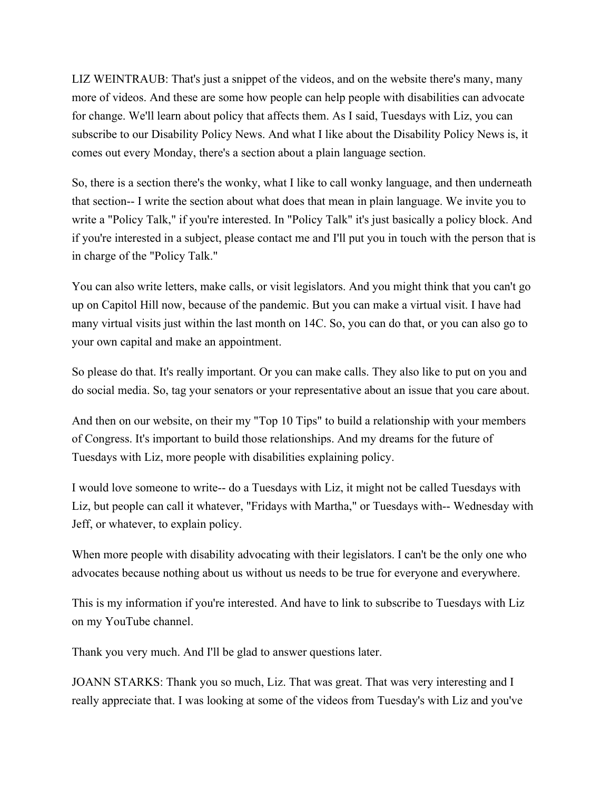LIZ WEINTRAUB: That's just a snippet of the videos, and on the website there's many, many more of videos. And these are some how people can help people with disabilities can advocate for change. We'll learn about policy that affects them. As I said, Tuesdays with Liz, you can subscribe to our Disability Policy News. And what I like about the Disability Policy News is, it comes out every Monday, there's a section about a plain language section.

So, there is a section there's the wonky, what I like to call wonky language, and then underneath that section-- I write the section about what does that mean in plain language. We invite you to write a "Policy Talk," if you're interested. In "Policy Talk" it's just basically a policy block. And if you're interested in a subject, please contact me and I'll put you in touch with the person that is in charge of the "Policy Talk."

You can also write letters, make calls, or visit legislators. And you might think that you can't go up on Capitol Hill now, because of the pandemic. But you can make a virtual visit. I have had many virtual visits just within the last month on 14C. So, you can do that, or you can also go to your own capital and make an appointment.

So please do that. It's really important. Or you can make calls. They also like to put on you and do social media. So, tag your senators or your representative about an issue that you care about.

And then on our website, on their my "Top 10 Tips" to build a relationship with your members of Congress. It's important to build those relationships. And my dreams for the future of Tuesdays with Liz, more people with disabilities explaining policy.

I would love someone to write-- do a Tuesdays with Liz, it might not be called Tuesdays with Liz, but people can call it whatever, "Fridays with Martha," or Tuesdays with-- Wednesday with Jeff, or whatever, to explain policy.

When more people with disability advocating with their legislators. I can't be the only one who advocates because nothing about us without us needs to be true for everyone and everywhere.

This is my information if you're interested. And have to link to subscribe to Tuesdays with Liz on my YouTube channel.

Thank you very much. And I'll be glad to answer questions later.

JOANN STARKS: Thank you so much, Liz. That was great. That was very interesting and I really appreciate that. I was looking at some of the videos from Tuesday's with Liz and you've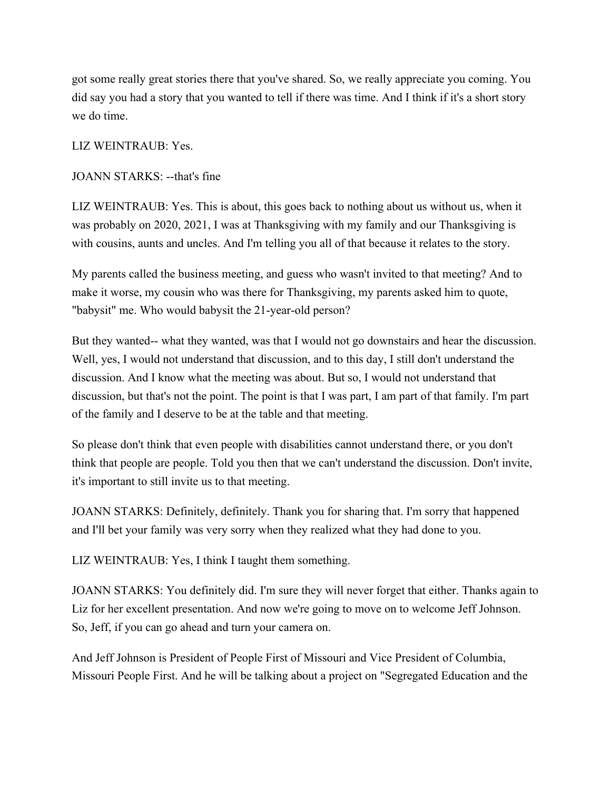got some really great stories there that you've shared. So, we really appreciate you coming. You did say you had a story that you wanted to tell if there was time. And I think if it's a short story we do time.

LIZ WEINTRAUB: Yes.

#### JOANN STARKS: --that's fine

LIZ WEINTRAUB: Yes. This is about, this goes back to nothing about us without us, when it was probably on 2020, 2021, I was at Thanksgiving with my family and our Thanksgiving is with cousins, aunts and uncles. And I'm telling you all of that because it relates to the story.

My parents called the business meeting, and guess who wasn't invited to that meeting? And to make it worse, my cousin who was there for Thanksgiving, my parents asked him to quote, "babysit" me. Who would babysit the 21-year-old person?

But they wanted-- what they wanted, was that I would not go downstairs and hear the discussion. Well, yes, I would not understand that discussion, and to this day, I still don't understand the discussion. And I know what the meeting was about. But so, I would not understand that discussion, but that's not the point. The point is that I was part, I am part of that family. I'm part of the family and I deserve to be at the table and that meeting.

So please don't think that even people with disabilities cannot understand there, or you don't think that people are people. Told you then that we can't understand the discussion. Don't invite, it's important to still invite us to that meeting.

JOANN STARKS: Definitely, definitely. Thank you for sharing that. I'm sorry that happened and I'll bet your family was very sorry when they realized what they had done to you.

LIZ WEINTRAUB: Yes, I think I taught them something.

JOANN STARKS: You definitely did. I'm sure they will never forget that either. Thanks again to Liz for her excellent presentation. And now we're going to move on to welcome Jeff Johnson. So, Jeff, if you can go ahead and turn your camera on.

And Jeff Johnson is President of People First of Missouri and Vice President of Columbia, Missouri People First. And he will be talking about a project on "Segregated Education and the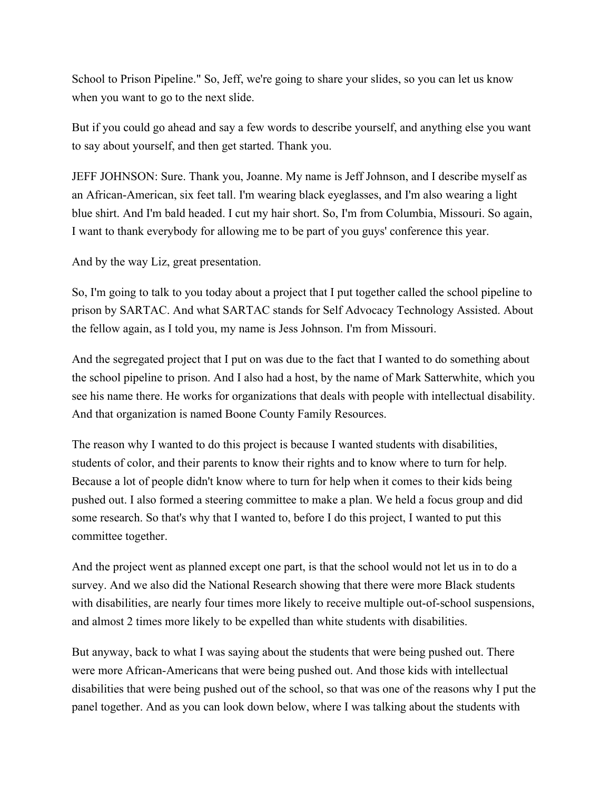School to Prison Pipeline." So, Jeff, we're going to share your slides, so you can let us know when you want to go to the next slide.

But if you could go ahead and say a few words to describe yourself, and anything else you want to say about yourself, and then get started. Thank you.

JEFF JOHNSON: Sure. Thank you, Joanne. My name is Jeff Johnson, and I describe myself as an African-American, six feet tall. I'm wearing black eyeglasses, and I'm also wearing a light blue shirt. And I'm bald headed. I cut my hair short. So, I'm from Columbia, Missouri. So again, I want to thank everybody for allowing me to be part of you guys' conference this year.

And by the way Liz, great presentation.

So, I'm going to talk to you today about a project that I put together called the school pipeline to prison by SARTAC. And what SARTAC stands for Self Advocacy Technology Assisted. About the fellow again, as I told you, my name is Jess Johnson. I'm from Missouri.

And the segregated project that I put on was due to the fact that I wanted to do something about the school pipeline to prison. And I also had a host, by the name of Mark Satterwhite, which you see his name there. He works for organizations that deals with people with intellectual disability. And that organization is named Boone County Family Resources.

The reason why I wanted to do this project is because I wanted students with disabilities, students of color, and their parents to know their rights and to know where to turn for help. Because a lot of people didn't know where to turn for help when it comes to their kids being pushed out. I also formed a steering committee to make a plan. We held a focus group and did some research. So that's why that I wanted to, before I do this project, I wanted to put this committee together.

And the project went as planned except one part, is that the school would not let us in to do a survey. And we also did the National Research showing that there were more Black students with disabilities, are nearly four times more likely to receive multiple out-of-school suspensions, and almost 2 times more likely to be expelled than white students with disabilities.

But anyway, back to what I was saying about the students that were being pushed out. There were more African-Americans that were being pushed out. And those kids with intellectual disabilities that were being pushed out of the school, so that was one of the reasons why I put the panel together. And as you can look down below, where I was talking about the students with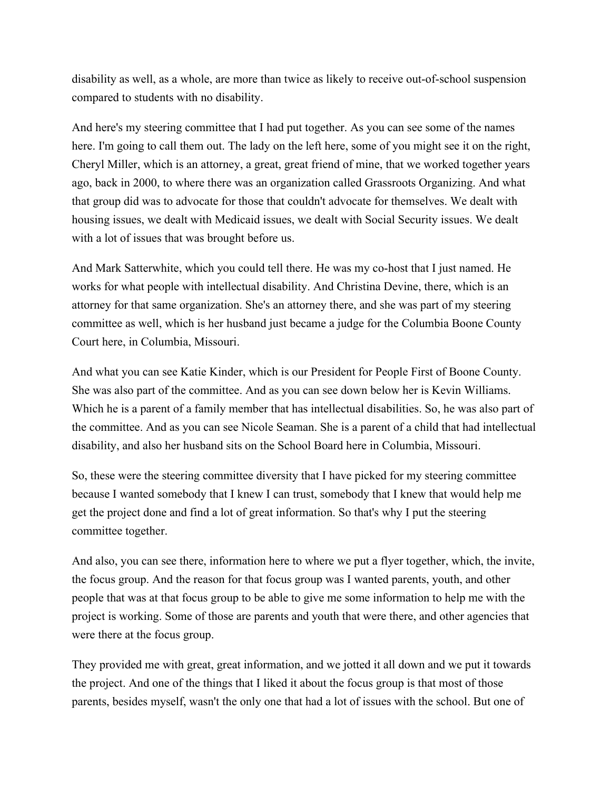disability as well, as a whole, are more than twice as likely to receive out-of-school suspension compared to students with no disability.

And here's my steering committee that I had put together. As you can see some of the names here. I'm going to call them out. The lady on the left here, some of you might see it on the right, Cheryl Miller, which is an attorney, a great, great friend of mine, that we worked together years ago, back in 2000, to where there was an organization called Grassroots Organizing. And what that group did was to advocate for those that couldn't advocate for themselves. We dealt with housing issues, we dealt with Medicaid issues, we dealt with Social Security issues. We dealt with a lot of issues that was brought before us.

And Mark Satterwhite, which you could tell there. He was my co-host that I just named. He works for what people with intellectual disability. And Christina Devine, there, which is an attorney for that same organization. She's an attorney there, and she was part of my steering committee as well, which is her husband just became a judge for the Columbia Boone County Court here, in Columbia, Missouri.

And what you can see Katie Kinder, which is our President for People First of Boone County. She was also part of the committee. And as you can see down below her is Kevin Williams. Which he is a parent of a family member that has intellectual disabilities. So, he was also part of the committee. And as you can see Nicole Seaman. She is a parent of a child that had intellectual disability, and also her husband sits on the School Board here in Columbia, Missouri.

So, these were the steering committee diversity that I have picked for my steering committee because I wanted somebody that I knew I can trust, somebody that I knew that would help me get the project done and find a lot of great information. So that's why I put the steering committee together.

And also, you can see there, information here to where we put a flyer together, which, the invite, the focus group. And the reason for that focus group was I wanted parents, youth, and other people that was at that focus group to be able to give me some information to help me with the project is working. Some of those are parents and youth that were there, and other agencies that were there at the focus group.

They provided me with great, great information, and we jotted it all down and we put it towards the project. And one of the things that I liked it about the focus group is that most of those parents, besides myself, wasn't the only one that had a lot of issues with the school. But one of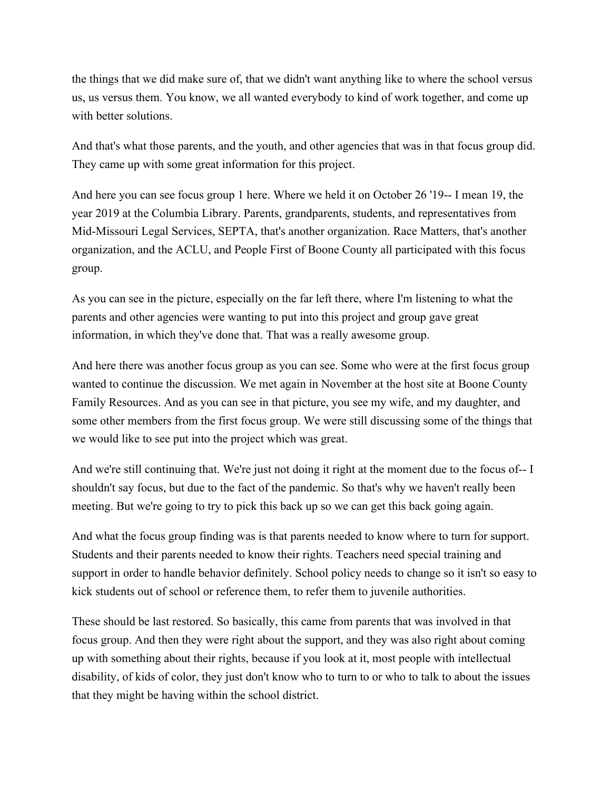the things that we did make sure of, that we didn't want anything like to where the school versus us, us versus them. You know, we all wanted everybody to kind of work together, and come up with better solutions.

And that's what those parents, and the youth, and other agencies that was in that focus group did. They came up with some great information for this project.

And here you can see focus group 1 here. Where we held it on October 26 '19-- I mean 19, the year 2019 at the Columbia Library. Parents, grandparents, students, and representatives from Mid-Missouri Legal Services, SEPTA, that's another organization. Race Matters, that's another organization, and the ACLU, and People First of Boone County all participated with this focus group.

As you can see in the picture, especially on the far left there, where I'm listening to what the parents and other agencies were wanting to put into this project and group gave great information, in which they've done that. That was a really awesome group.

And here there was another focus group as you can see. Some who were at the first focus group wanted to continue the discussion. We met again in November at the host site at Boone County Family Resources. And as you can see in that picture, you see my wife, and my daughter, and some other members from the first focus group. We were still discussing some of the things that we would like to see put into the project which was great.

And we're still continuing that. We're just not doing it right at the moment due to the focus of-- I shouldn't say focus, but due to the fact of the pandemic. So that's why we haven't really been meeting. But we're going to try to pick this back up so we can get this back going again.

And what the focus group finding was is that parents needed to know where to turn for support. Students and their parents needed to know their rights. Teachers need special training and support in order to handle behavior definitely. School policy needs to change so it isn't so easy to kick students out of school or reference them, to refer them to juvenile authorities.

These should be last restored. So basically, this came from parents that was involved in that focus group. And then they were right about the support, and they was also right about coming up with something about their rights, because if you look at it, most people with intellectual disability, of kids of color, they just don't know who to turn to or who to talk to about the issues that they might be having within the school district.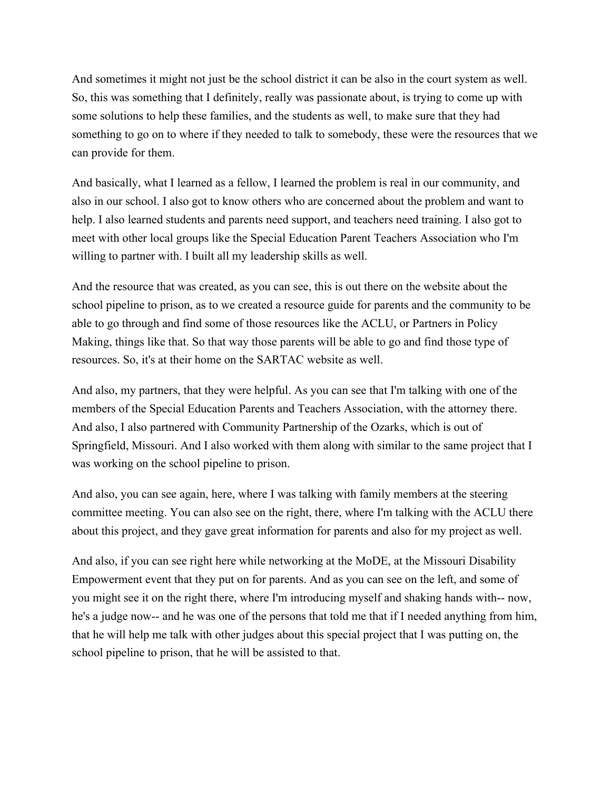And sometimes it might not just be the school district it can be also in the court system as well. So, this was something that I definitely, really was passionate about, is trying to come up with some solutions to help these families, and the students as well, to make sure that they had something to go on to where if they needed to talk to somebody, these were the resources that we can provide for them.

And basically, what I learned as a fellow, I learned the problem is real in our community, and also in our school. I also got to know others who are concerned about the problem and want to help. I also learned students and parents need support, and teachers need training. I also got to meet with other local groups like the Special Education Parent Teachers Association who I'm willing to partner with. I built all my leadership skills as well.

And the resource that was created, as you can see, this is out there on the website about the school pipeline to prison, as to we created a resource guide for parents and the community to be able to go through and find some of those resources like the ACLU, or Partners in Policy Making, things like that. So that way those parents will be able to go and find those type of resources. So, it's at their home on the SARTAC website as well.

And also, my partners, that they were helpful. As you can see that I'm talking with one of the members of the Special Education Parents and Teachers Association, with the attorney there. And also, I also partnered with Community Partnership of the Ozarks, which is out of Springfield, Missouri. And I also worked with them along with similar to the same project that I was working on the school pipeline to prison.

And also, you can see again, here, where I was talking with family members at the steering committee meeting. You can also see on the right, there, where I'm talking with the ACLU there about this project, and they gave great information for parents and also for my project as well.

And also, if you can see right here while networking at the MoDE, at the Missouri Disability Empowerment event that they put on for parents. And as you can see on the left, and some of you might see it on the right there, where I'm introducing myself and shaking hands with-- now, he's a judge now-- and he was one of the persons that told me that if I needed anything from him, that he will help me talk with other judges about this special project that I was putting on, the school pipeline to prison, that he will be assisted to that.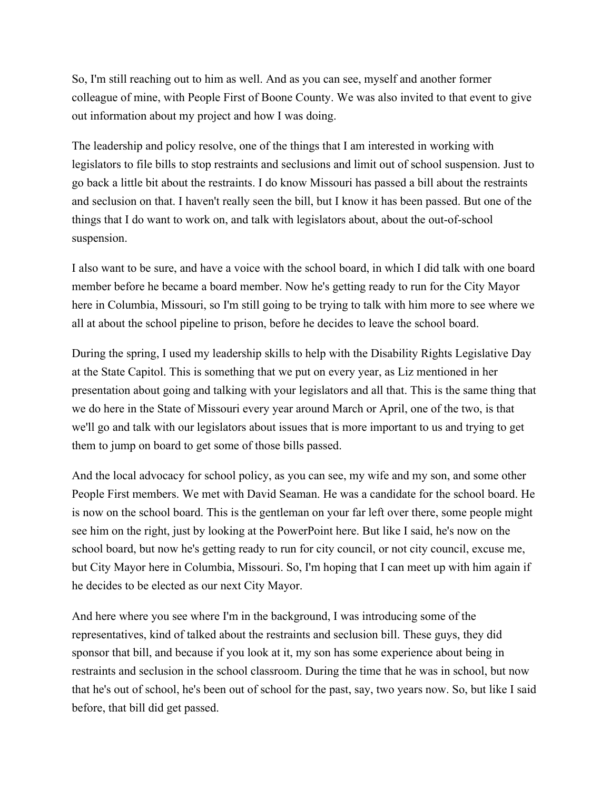So, I'm still reaching out to him as well. And as you can see, myself and another former colleague of mine, with People First of Boone County. We was also invited to that event to give out information about my project and how I was doing.

The leadership and policy resolve, one of the things that I am interested in working with legislators to file bills to stop restraints and seclusions and limit out of school suspension. Just to go back a little bit about the restraints. I do know Missouri has passed a bill about the restraints and seclusion on that. I haven't really seen the bill, but I know it has been passed. But one of the things that I do want to work on, and talk with legislators about, about the out-of-school suspension.

I also want to be sure, and have a voice with the school board, in which I did talk with one board member before he became a board member. Now he's getting ready to run for the City Mayor here in Columbia, Missouri, so I'm still going to be trying to talk with him more to see where we all at about the school pipeline to prison, before he decides to leave the school board.

During the spring, I used my leadership skills to help with the Disability Rights Legislative Day at the State Capitol. This is something that we put on every year, as Liz mentioned in her presentation about going and talking with your legislators and all that. This is the same thing that we do here in the State of Missouri every year around March or April, one of the two, is that we'll go and talk with our legislators about issues that is more important to us and trying to get them to jump on board to get some of those bills passed.

And the local advocacy for school policy, as you can see, my wife and my son, and some other People First members. We met with David Seaman. He was a candidate for the school board. He is now on the school board. This is the gentleman on your far left over there, some people might see him on the right, just by looking at the PowerPoint here. But like I said, he's now on the school board, but now he's getting ready to run for city council, or not city council, excuse me, but City Mayor here in Columbia, Missouri. So, I'm hoping that I can meet up with him again if he decides to be elected as our next City Mayor.

And here where you see where I'm in the background, I was introducing some of the representatives, kind of talked about the restraints and seclusion bill. These guys, they did sponsor that bill, and because if you look at it, my son has some experience about being in restraints and seclusion in the school classroom. During the time that he was in school, but now that he's out of school, he's been out of school for the past, say, two years now. So, but like I said before, that bill did get passed.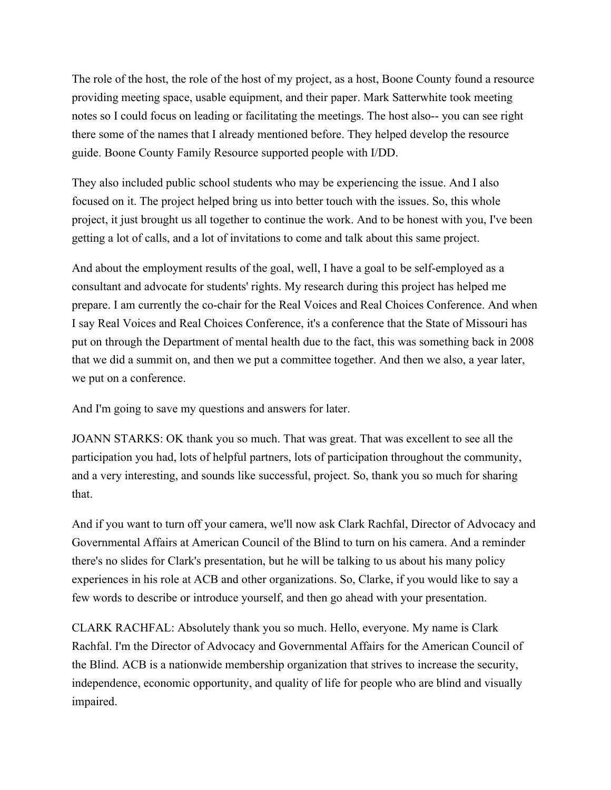The role of the host, the role of the host of my project, as a host, Boone County found a resource providing meeting space, usable equipment, and their paper. Mark Satterwhite took meeting notes so I could focus on leading or facilitating the meetings. The host also-- you can see right there some of the names that I already mentioned before. They helped develop the resource guide. Boone County Family Resource supported people with I/DD.

They also included public school students who may be experiencing the issue. And I also focused on it. The project helped bring us into better touch with the issues. So, this whole project, it just brought us all together to continue the work. And to be honest with you, I've been getting a lot of calls, and a lot of invitations to come and talk about this same project.

And about the employment results of the goal, well, I have a goal to be self-employed as a consultant and advocate for students' rights. My research during this project has helped me prepare. I am currently the co-chair for the Real Voices and Real Choices Conference. And when I say Real Voices and Real Choices Conference, it's a conference that the State of Missouri has put on through the Department of mental health due to the fact, this was something back in 2008 that we did a summit on, and then we put a committee together. And then we also, a year later, we put on a conference.

And I'm going to save my questions and answers for later.

JOANN STARKS: OK thank you so much. That was great. That was excellent to see all the participation you had, lots of helpful partners, lots of participation throughout the community, and a very interesting, and sounds like successful, project. So, thank you so much for sharing that.

And if you want to turn off your camera, we'll now ask Clark Rachfal, Director of Advocacy and Governmental Affairs at American Council of the Blind to turn on his camera. And a reminder there's no slides for Clark's presentation, but he will be talking to us about his many policy experiences in his role at ACB and other organizations. So, Clarke, if you would like to say a few words to describe or introduce yourself, and then go ahead with your presentation.

CLARK RACHFAL: Absolutely thank you so much. Hello, everyone. My name is Clark Rachfal. I'm the Director of Advocacy and Governmental Affairs for the American Council of the Blind. ACB is a nationwide membership organization that strives to increase the security, independence, economic opportunity, and quality of life for people who are blind and visually impaired.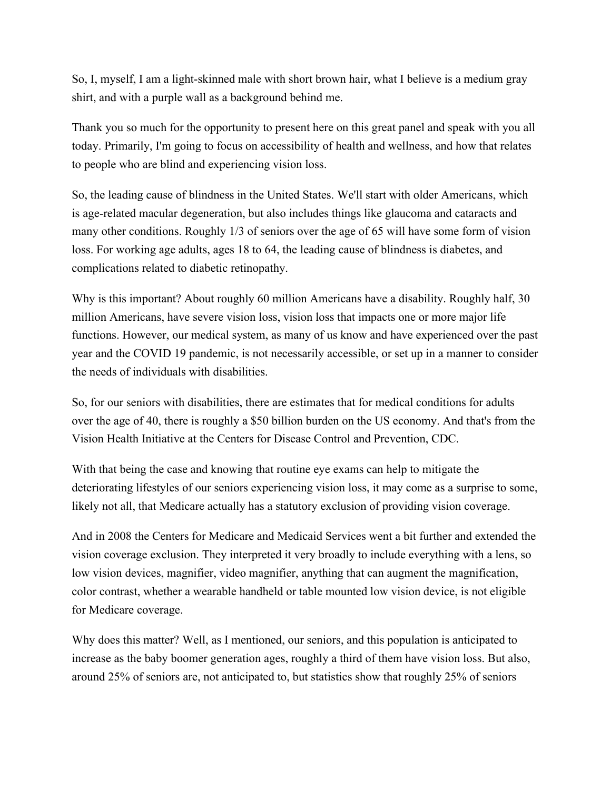So, I, myself, I am a light-skinned male with short brown hair, what I believe is a medium gray shirt, and with a purple wall as a background behind me.

Thank you so much for the opportunity to present here on this great panel and speak with you all today. Primarily, I'm going to focus on accessibility of health and wellness, and how that relates to people who are blind and experiencing vision loss.

So, the leading cause of blindness in the United States. We'll start with older Americans, which is age-related macular degeneration, but also includes things like glaucoma and cataracts and many other conditions. Roughly 1/3 of seniors over the age of 65 will have some form of vision loss. For working age adults, ages 18 to 64, the leading cause of blindness is diabetes, and complications related to diabetic retinopathy.

Why is this important? About roughly 60 million Americans have a disability. Roughly half, 30 million Americans, have severe vision loss, vision loss that impacts one or more major life functions. However, our medical system, as many of us know and have experienced over the past year and the COVID 19 pandemic, is not necessarily accessible, or set up in a manner to consider the needs of individuals with disabilities.

So, for our seniors with disabilities, there are estimates that for medical conditions for adults over the age of 40, there is roughly a \$50 billion burden on the US economy. And that's from the Vision Health Initiative at the Centers for Disease Control and Prevention, CDC.

With that being the case and knowing that routine eye exams can help to mitigate the deteriorating lifestyles of our seniors experiencing vision loss, it may come as a surprise to some, likely not all, that Medicare actually has a statutory exclusion of providing vision coverage.

And in 2008 the Centers for Medicare and Medicaid Services went a bit further and extended the vision coverage exclusion. They interpreted it very broadly to include everything with a lens, so low vision devices, magnifier, video magnifier, anything that can augment the magnification, color contrast, whether a wearable handheld or table mounted low vision device, is not eligible for Medicare coverage.

Why does this matter? Well, as I mentioned, our seniors, and this population is anticipated to increase as the baby boomer generation ages, roughly a third of them have vision loss. But also, around 25% of seniors are, not anticipated to, but statistics show that roughly 25% of seniors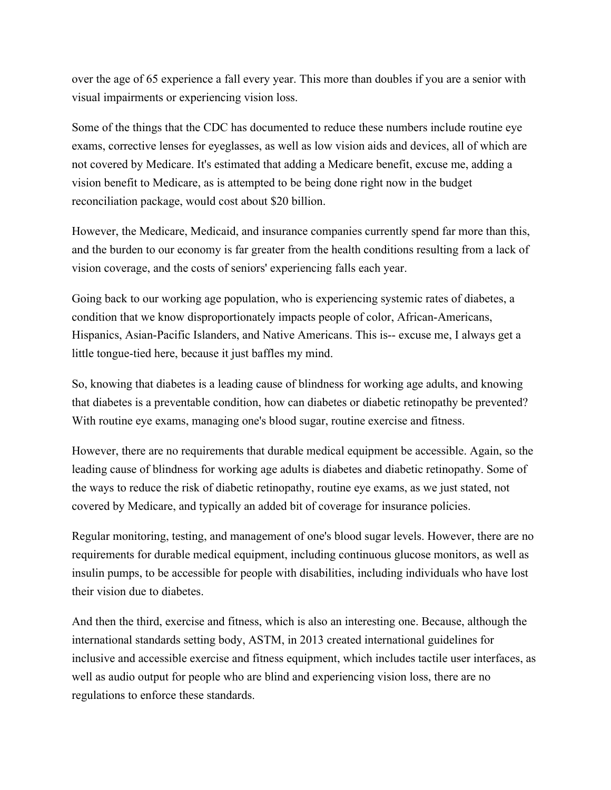over the age of 65 experience a fall every year. This more than doubles if you are a senior with visual impairments or experiencing vision loss.

Some of the things that the CDC has documented to reduce these numbers include routine eye exams, corrective lenses for eyeglasses, as well as low vision aids and devices, all of which are not covered by Medicare. It's estimated that adding a Medicare benefit, excuse me, adding a vision benefit to Medicare, as is attempted to be being done right now in the budget reconciliation package, would cost about \$20 billion.

However, the Medicare, Medicaid, and insurance companies currently spend far more than this, and the burden to our economy is far greater from the health conditions resulting from a lack of vision coverage, and the costs of seniors' experiencing falls each year.

Going back to our working age population, who is experiencing systemic rates of diabetes, a condition that we know disproportionately impacts people of color, African-Americans, Hispanics, Asian-Pacific Islanders, and Native Americans. This is-- excuse me, I always get a little tongue-tied here, because it just baffles my mind.

So, knowing that diabetes is a leading cause of blindness for working age adults, and knowing that diabetes is a preventable condition, how can diabetes or diabetic retinopathy be prevented? With routine eye exams, managing one's blood sugar, routine exercise and fitness.

However, there are no requirements that durable medical equipment be accessible. Again, so the leading cause of blindness for working age adults is diabetes and diabetic retinopathy. Some of the ways to reduce the risk of diabetic retinopathy, routine eye exams, as we just stated, not covered by Medicare, and typically an added bit of coverage for insurance policies.

Regular monitoring, testing, and management of one's blood sugar levels. However, there are no requirements for durable medical equipment, including continuous glucose monitors, as well as insulin pumps, to be accessible for people with disabilities, including individuals who have lost their vision due to diabetes.

And then the third, exercise and fitness, which is also an interesting one. Because, although the international standards setting body, ASTM, in 2013 created international guidelines for inclusive and accessible exercise and fitness equipment, which includes tactile user interfaces, as well as audio output for people who are blind and experiencing vision loss, there are no regulations to enforce these standards.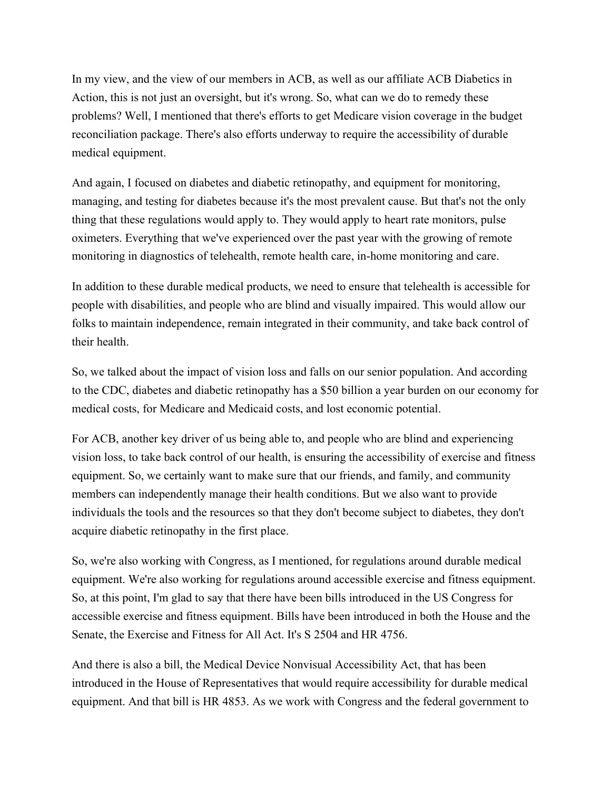In my view, and the view of our members in ACB, as well as our affiliate ACB Diabetics in Action, this is not just an oversight, but it's wrong. So, what can we do to remedy these problems? Well, I mentioned that there's efforts to get Medicare vision coverage in the budget reconciliation package. There's also efforts underway to require the accessibility of durable medical equipment.

And again, I focused on diabetes and diabetic retinopathy, and equipment for monitoring, managing, and testing for diabetes because it's the most prevalent cause. But that's not the only thing that these regulations would apply to. They would apply to heart rate monitors, pulse oximeters. Everything that we've experienced over the past year with the growing of remote monitoring in diagnostics of telehealth, remote health care, in-home monitoring and care.

In addition to these durable medical products, we need to ensure that telehealth is accessible for people with disabilities, and people who are blind and visually impaired. This would allow our folks to maintain independence, remain integrated in their community, and take back control of their health.

So, we talked about the impact of vision loss and falls on our senior population. And according to the CDC, diabetes and diabetic retinopathy has a \$50 billion a year burden on our economy for medical costs, for Medicare and Medicaid costs, and lost economic potential.

For ACB, another key driver of us being able to, and people who are blind and experiencing vision loss, to take back control of our health, is ensuring the accessibility of exercise and fitness equipment. So, we certainly want to make sure that our friends, and family, and community members can independently manage their health conditions. But we also want to provide individuals the tools and the resources so that they don't become subject to diabetes, they don't acquire diabetic retinopathy in the first place.

So, we're also working with Congress, as I mentioned, for regulations around durable medical equipment. We're also working for regulations around accessible exercise and fitness equipment. So, at this point, I'm glad to say that there have been bills introduced in the US Congress for accessible exercise and fitness equipment. Bills have been introduced in both the House and the Senate, the Exercise and Fitness for All Act. It's S 2504 and HR 4756.

And there is also a bill, the Medical Device Nonvisual Accessibility Act, that has been introduced in the House of Representatives that would require accessibility for durable medical equipment. And that bill is HR 4853. As we work with Congress and the federal government to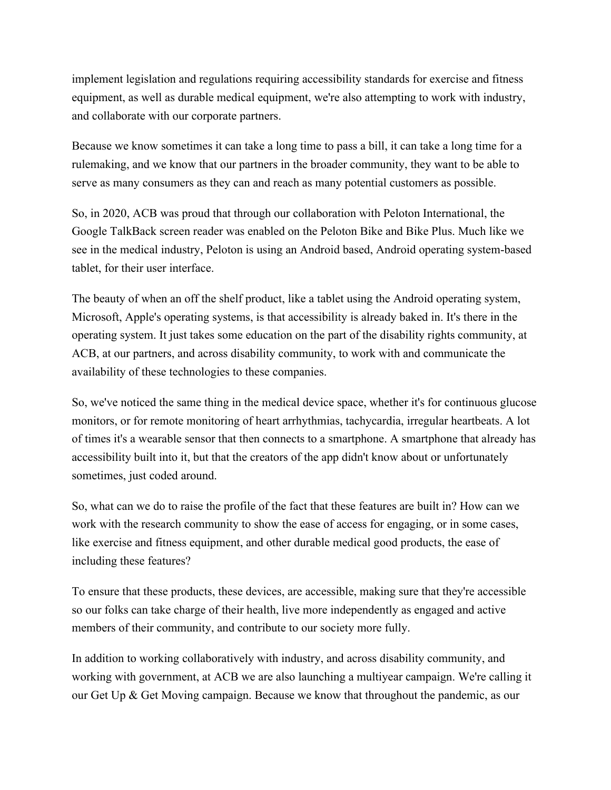implement legislation and regulations requiring accessibility standards for exercise and fitness equipment, as well as durable medical equipment, we're also attempting to work with industry, and collaborate with our corporate partners.

Because we know sometimes it can take a long time to pass a bill, it can take a long time for a rulemaking, and we know that our partners in the broader community, they want to be able to serve as many consumers as they can and reach as many potential customers as possible.

So, in 2020, ACB was proud that through our collaboration with Peloton International, the Google TalkBack screen reader was enabled on the Peloton Bike and Bike Plus. Much like we see in the medical industry, Peloton is using an Android based, Android operating system-based tablet, for their user interface.

The beauty of when an off the shelf product, like a tablet using the Android operating system, Microsoft, Apple's operating systems, is that accessibility is already baked in. It's there in the operating system. It just takes some education on the part of the disability rights community, at ACB, at our partners, and across disability community, to work with and communicate the availability of these technologies to these companies.

So, we've noticed the same thing in the medical device space, whether it's for continuous glucose monitors, or for remote monitoring of heart arrhythmias, tachycardia, irregular heartbeats. A lot of times it's a wearable sensor that then connects to a smartphone. A smartphone that already has accessibility built into it, but that the creators of the app didn't know about or unfortunately sometimes, just coded around.

So, what can we do to raise the profile of the fact that these features are built in? How can we work with the research community to show the ease of access for engaging, or in some cases, like exercise and fitness equipment, and other durable medical good products, the ease of including these features?

To ensure that these products, these devices, are accessible, making sure that they're accessible so our folks can take charge of their health, live more independently as engaged and active members of their community, and contribute to our society more fully.

In addition to working collaboratively with industry, and across disability community, and working with government, at ACB we are also launching a multiyear campaign. We're calling it our Get Up & Get Moving campaign. Because we know that throughout the pandemic, as our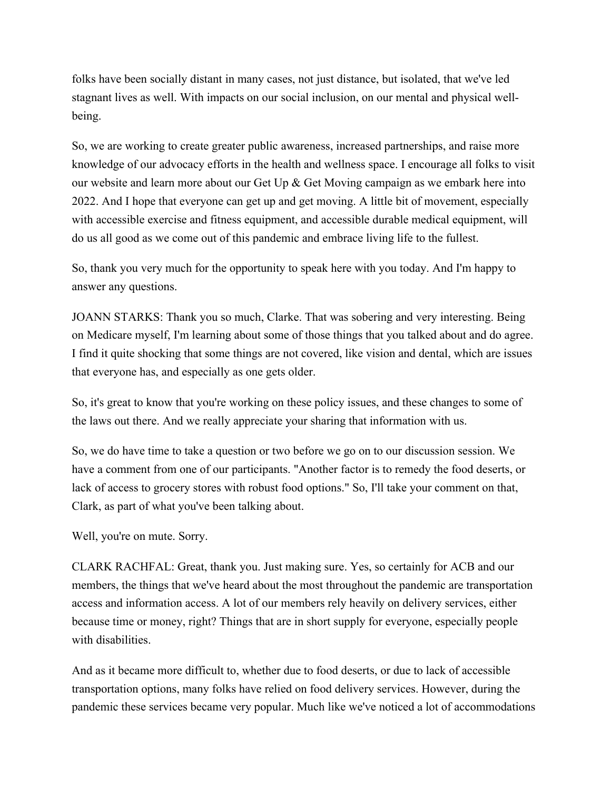folks have been socially distant in many cases, not just distance, but isolated, that we've led stagnant lives as well. With impacts on our social inclusion, on our mental and physical wellbeing.

So, we are working to create greater public awareness, increased partnerships, and raise more knowledge of our advocacy efforts in the health and wellness space. I encourage all folks to visit our website and learn more about our Get Up & Get Moving campaign as we embark here into 2022. And I hope that everyone can get up and get moving. A little bit of movement, especially with accessible exercise and fitness equipment, and accessible durable medical equipment, will do us all good as we come out of this pandemic and embrace living life to the fullest.

So, thank you very much for the opportunity to speak here with you today. And I'm happy to answer any questions.

JOANN STARKS: Thank you so much, Clarke. That was sobering and very interesting. Being on Medicare myself, I'm learning about some of those things that you talked about and do agree. I find it quite shocking that some things are not covered, like vision and dental, which are issues that everyone has, and especially as one gets older.

So, it's great to know that you're working on these policy issues, and these changes to some of the laws out there. And we really appreciate your sharing that information with us.

So, we do have time to take a question or two before we go on to our discussion session. We have a comment from one of our participants. "Another factor is to remedy the food deserts, or lack of access to grocery stores with robust food options." So, I'll take your comment on that, Clark, as part of what you've been talking about.

Well, you're on mute. Sorry.

CLARK RACHFAL: Great, thank you. Just making sure. Yes, so certainly for ACB and our members, the things that we've heard about the most throughout the pandemic are transportation access and information access. A lot of our members rely heavily on delivery services, either because time or money, right? Things that are in short supply for everyone, especially people with disabilities.

And as it became more difficult to, whether due to food deserts, or due to lack of accessible transportation options, many folks have relied on food delivery services. However, during the pandemic these services became very popular. Much like we've noticed a lot of accommodations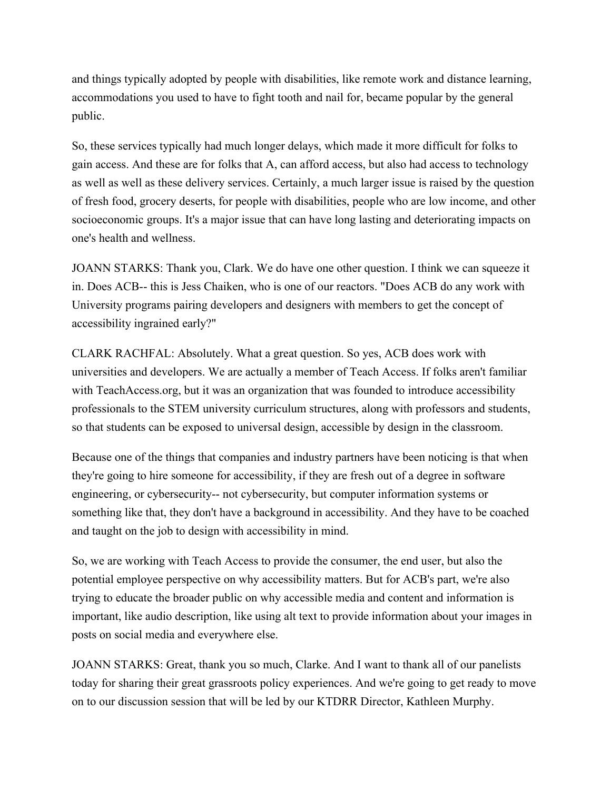and things typically adopted by people with disabilities, like remote work and distance learning, accommodations you used to have to fight tooth and nail for, became popular by the general public.

So, these services typically had much longer delays, which made it more difficult for folks to gain access. And these are for folks that A, can afford access, but also had access to technology as well as well as these delivery services. Certainly, a much larger issue is raised by the question of fresh food, grocery deserts, for people with disabilities, people who are low income, and other socioeconomic groups. It's a major issue that can have long lasting and deteriorating impacts on one's health and wellness.

JOANN STARKS: Thank you, Clark. We do have one other question. I think we can squeeze it in. Does ACB-- this is Jess Chaiken, who is one of our reactors. "Does ACB do any work with University programs pairing developers and designers with members to get the concept of accessibility ingrained early?"

CLARK RACHFAL: Absolutely. What a great question. So yes, ACB does work with universities and developers. We are actually a member of Teach Access. If folks aren't familiar with TeachAccess.org, but it was an organization that was founded to introduce accessibility professionals to the STEM university curriculum structures, along with professors and students, so that students can be exposed to universal design, accessible by design in the classroom.

Because one of the things that companies and industry partners have been noticing is that when they're going to hire someone for accessibility, if they are fresh out of a degree in software engineering, or cybersecurity-- not cybersecurity, but computer information systems or something like that, they don't have a background in accessibility. And they have to be coached and taught on the job to design with accessibility in mind.

So, we are working with Teach Access to provide the consumer, the end user, but also the potential employee perspective on why accessibility matters. But for ACB's part, we're also trying to educate the broader public on why accessible media and content and information is important, like audio description, like using alt text to provide information about your images in posts on social media and everywhere else.

JOANN STARKS: Great, thank you so much, Clarke. And I want to thank all of our panelists today for sharing their great grassroots policy experiences. And we're going to get ready to move on to our discussion session that will be led by our KTDRR Director, Kathleen Murphy.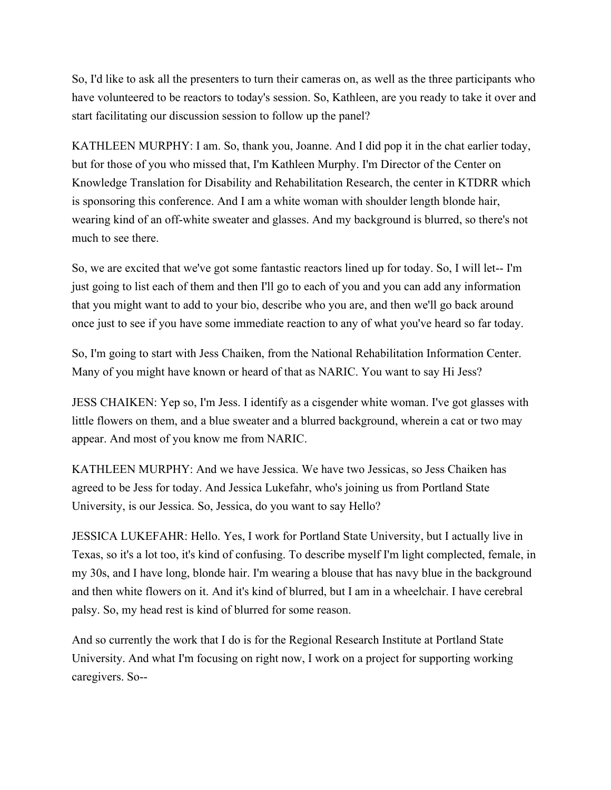So, I'd like to ask all the presenters to turn their cameras on, as well as the three participants who have volunteered to be reactors to today's session. So, Kathleen, are you ready to take it over and start facilitating our discussion session to follow up the panel?

KATHLEEN MURPHY: I am. So, thank you, Joanne. And I did pop it in the chat earlier today, but for those of you who missed that, I'm Kathleen Murphy. I'm Director of the Center on Knowledge Translation for Disability and Rehabilitation Research, the center in KTDRR which is sponsoring this conference. And I am a white woman with shoulder length blonde hair, wearing kind of an off-white sweater and glasses. And my background is blurred, so there's not much to see there.

So, we are excited that we've got some fantastic reactors lined up for today. So, I will let-- I'm just going to list each of them and then I'll go to each of you and you can add any information that you might want to add to your bio, describe who you are, and then we'll go back around once just to see if you have some immediate reaction to any of what you've heard so far today.

So, I'm going to start with Jess Chaiken, from the National Rehabilitation Information Center. Many of you might have known or heard of that as NARIC. You want to say Hi Jess?

JESS CHAIKEN: Yep so, I'm Jess. I identify as a cisgender white woman. I've got glasses with little flowers on them, and a blue sweater and a blurred background, wherein a cat or two may appear. And most of you know me from NARIC.

KATHLEEN MURPHY: And we have Jessica. We have two Jessicas, so Jess Chaiken has agreed to be Jess for today. And Jessica Lukefahr, who's joining us from Portland State University, is our Jessica. So, Jessica, do you want to say Hello?

JESSICA LUKEFAHR: Hello. Yes, I work for Portland State University, but I actually live in Texas, so it's a lot too, it's kind of confusing. To describe myself I'm light complected, female, in my 30s, and I have long, blonde hair. I'm wearing a blouse that has navy blue in the background and then white flowers on it. And it's kind of blurred, but I am in a wheelchair. I have cerebral palsy. So, my head rest is kind of blurred for some reason.

And so currently the work that I do is for the Regional Research Institute at Portland State University. And what I'm focusing on right now, I work on a project for supporting working caregivers. So--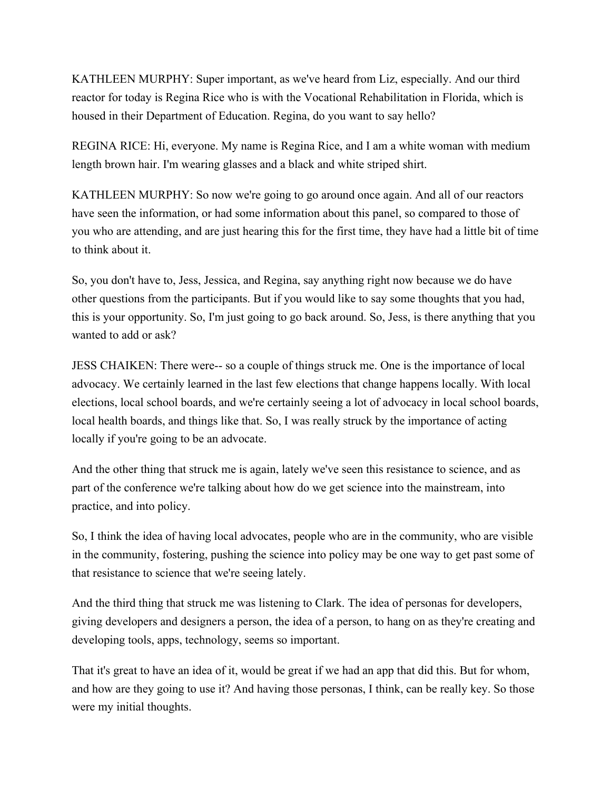KATHLEEN MURPHY: Super important, as we've heard from Liz, especially. And our third reactor for today is Regina Rice who is with the Vocational Rehabilitation in Florida, which is housed in their Department of Education. Regina, do you want to say hello?

REGINA RICE: Hi, everyone. My name is Regina Rice, and I am a white woman with medium length brown hair. I'm wearing glasses and a black and white striped shirt.

KATHLEEN MURPHY: So now we're going to go around once again. And all of our reactors have seen the information, or had some information about this panel, so compared to those of you who are attending, and are just hearing this for the first time, they have had a little bit of time to think about it.

So, you don't have to, Jess, Jessica, and Regina, say anything right now because we do have other questions from the participants. But if you would like to say some thoughts that you had, this is your opportunity. So, I'm just going to go back around. So, Jess, is there anything that you wanted to add or ask?

JESS CHAIKEN: There were-- so a couple of things struck me. One is the importance of local advocacy. We certainly learned in the last few elections that change happens locally. With local elections, local school boards, and we're certainly seeing a lot of advocacy in local school boards, local health boards, and things like that. So, I was really struck by the importance of acting locally if you're going to be an advocate.

And the other thing that struck me is again, lately we've seen this resistance to science, and as part of the conference we're talking about how do we get science into the mainstream, into practice, and into policy.

So, I think the idea of having local advocates, people who are in the community, who are visible in the community, fostering, pushing the science into policy may be one way to get past some of that resistance to science that we're seeing lately.

And the third thing that struck me was listening to Clark. The idea of personas for developers, giving developers and designers a person, the idea of a person, to hang on as they're creating and developing tools, apps, technology, seems so important.

That it's great to have an idea of it, would be great if we had an app that did this. But for whom, and how are they going to use it? And having those personas, I think, can be really key. So those were my initial thoughts.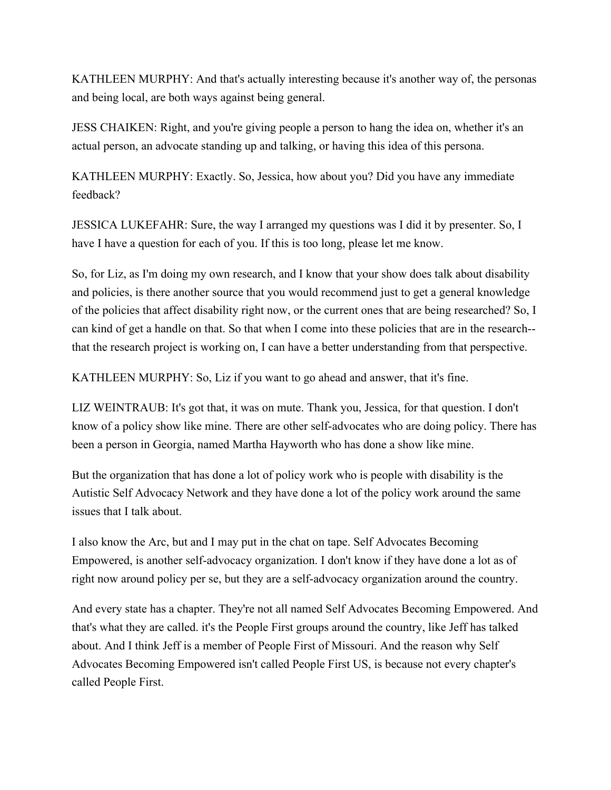KATHLEEN MURPHY: And that's actually interesting because it's another way of, the personas and being local, are both ways against being general.

JESS CHAIKEN: Right, and you're giving people a person to hang the idea on, whether it's an actual person, an advocate standing up and talking, or having this idea of this persona.

KATHLEEN MURPHY: Exactly. So, Jessica, how about you? Did you have any immediate feedback?

JESSICA LUKEFAHR: Sure, the way I arranged my questions was I did it by presenter. So, I have I have a question for each of you. If this is too long, please let me know.

So, for Liz, as I'm doing my own research, and I know that your show does talk about disability and policies, is there another source that you would recommend just to get a general knowledge of the policies that affect disability right now, or the current ones that are being researched? So, I can kind of get a handle on that. So that when I come into these policies that are in the research- that the research project is working on, I can have a better understanding from that perspective.

KATHLEEN MURPHY: So, Liz if you want to go ahead and answer, that it's fine.

LIZ WEINTRAUB: It's got that, it was on mute. Thank you, Jessica, for that question. I don't know of a policy show like mine. There are other self-advocates who are doing policy. There has been a person in Georgia, named Martha Hayworth who has done a show like mine.

But the organization that has done a lot of policy work who is people with disability is the Autistic Self Advocacy Network and they have done a lot of the policy work around the same issues that I talk about.

I also know the Arc, but and I may put in the chat on tape. Self Advocates Becoming Empowered, is another self-advocacy organization. I don't know if they have done a lot as of right now around policy per se, but they are a self-advocacy organization around the country.

And every state has a chapter. They're not all named Self Advocates Becoming Empowered. And that's what they are called. it's the People First groups around the country, like Jeff has talked about. And I think Jeff is a member of People First of Missouri. And the reason why Self Advocates Becoming Empowered isn't called People First US, is because not every chapter's called People First.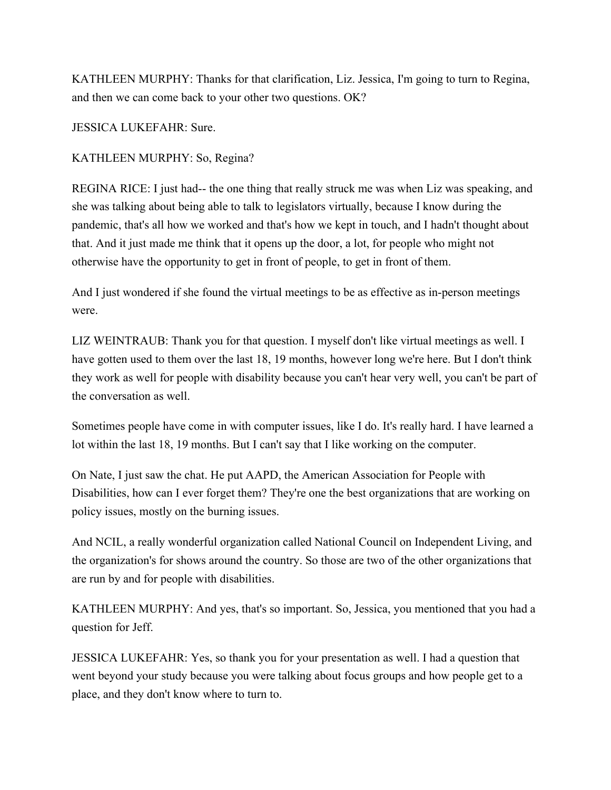KATHLEEN MURPHY: Thanks for that clarification, Liz. Jessica, I'm going to turn to Regina, and then we can come back to your other two questions. OK?

JESSICA LUKEFAHR: Sure.

### KATHLEEN MURPHY: So, Regina?

REGINA RICE: I just had-- the one thing that really struck me was when Liz was speaking, and she was talking about being able to talk to legislators virtually, because I know during the pandemic, that's all how we worked and that's how we kept in touch, and I hadn't thought about that. And it just made me think that it opens up the door, a lot, for people who might not otherwise have the opportunity to get in front of people, to get in front of them.

And I just wondered if she found the virtual meetings to be as effective as in-person meetings were.

LIZ WEINTRAUB: Thank you for that question. I myself don't like virtual meetings as well. I have gotten used to them over the last 18, 19 months, however long we're here. But I don't think they work as well for people with disability because you can't hear very well, you can't be part of the conversation as well.

Sometimes people have come in with computer issues, like I do. It's really hard. I have learned a lot within the last 18, 19 months. But I can't say that I like working on the computer.

On Nate, I just saw the chat. He put AAPD, the American Association for People with Disabilities, how can I ever forget them? They're one the best organizations that are working on policy issues, mostly on the burning issues.

And NCIL, a really wonderful organization called National Council on Independent Living, and the organization's for shows around the country. So those are two of the other organizations that are run by and for people with disabilities.

KATHLEEN MURPHY: And yes, that's so important. So, Jessica, you mentioned that you had a question for Jeff.

JESSICA LUKEFAHR: Yes, so thank you for your presentation as well. I had a question that went beyond your study because you were talking about focus groups and how people get to a place, and they don't know where to turn to.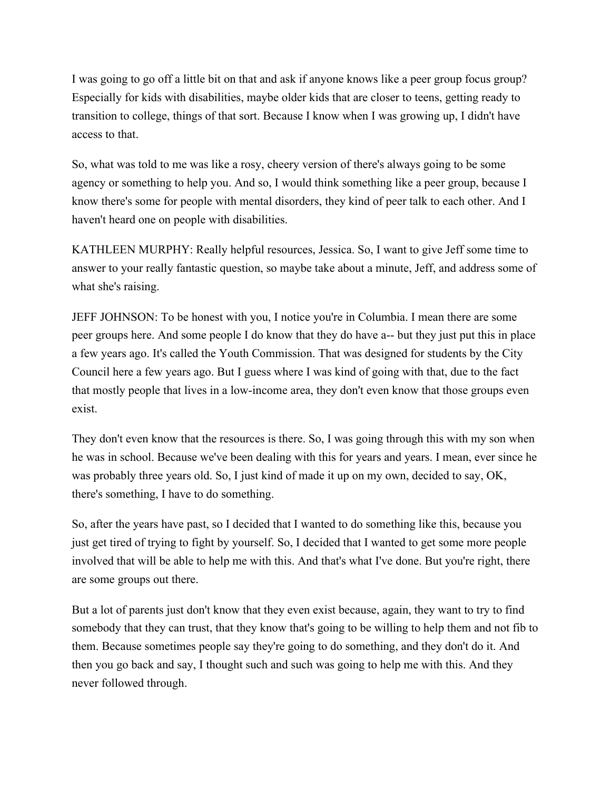I was going to go off a little bit on that and ask if anyone knows like a peer group focus group? Especially for kids with disabilities, maybe older kids that are closer to teens, getting ready to transition to college, things of that sort. Because I know when I was growing up, I didn't have access to that.

So, what was told to me was like a rosy, cheery version of there's always going to be some agency or something to help you. And so, I would think something like a peer group, because I know there's some for people with mental disorders, they kind of peer talk to each other. And I haven't heard one on people with disabilities.

KATHLEEN MURPHY: Really helpful resources, Jessica. So, I want to give Jeff some time to answer to your really fantastic question, so maybe take about a minute, Jeff, and address some of what she's raising.

JEFF JOHNSON: To be honest with you, I notice you're in Columbia. I mean there are some peer groups here. And some people I do know that they do have a-- but they just put this in place a few years ago. It's called the Youth Commission. That was designed for students by the City Council here a few years ago. But I guess where I was kind of going with that, due to the fact that mostly people that lives in a low-income area, they don't even know that those groups even exist.

They don't even know that the resources is there. So, I was going through this with my son when he was in school. Because we've been dealing with this for years and years. I mean, ever since he was probably three years old. So, I just kind of made it up on my own, decided to say, OK, there's something, I have to do something.

So, after the years have past, so I decided that I wanted to do something like this, because you just get tired of trying to fight by yourself. So, I decided that I wanted to get some more people involved that will be able to help me with this. And that's what I've done. But you're right, there are some groups out there.

But a lot of parents just don't know that they even exist because, again, they want to try to find somebody that they can trust, that they know that's going to be willing to help them and not fib to them. Because sometimes people say they're going to do something, and they don't do it. And then you go back and say, I thought such and such was going to help me with this. And they never followed through.